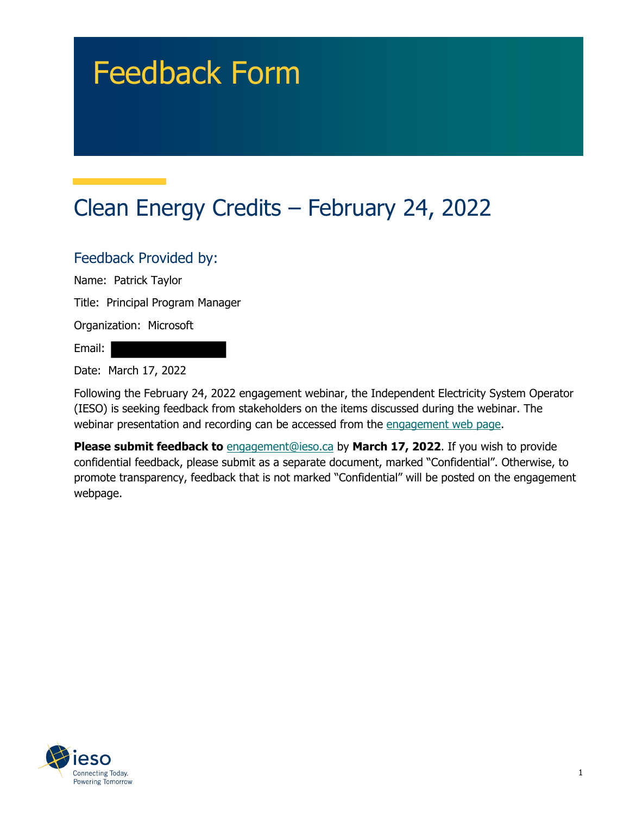# Feedback Form

## Clean Energy Credits – February 24, 2022

#### Feedback Provided by:

Name: Patrick Taylor

Title: Principal Program Manager

Organization: Microsoft

Email:

Date: March 17, 2022

Following the February 24, 2022 engagement webinar, the Independent Electricity System Operator (IESO) is seeking feedback from stakeholders on the items discussed during the webinar. The webinar presentation and recording can be accessed from the engagement web page.

**Please submit feedback to** engagement@ieso.ca by March 17, 2022. If you wish to provide confidential feedback, please submit as a separate document, marked "Confidential". Otherwise, to promote transparency, feedback that is not marked "Confidential" will be posted on the engagement webpage.

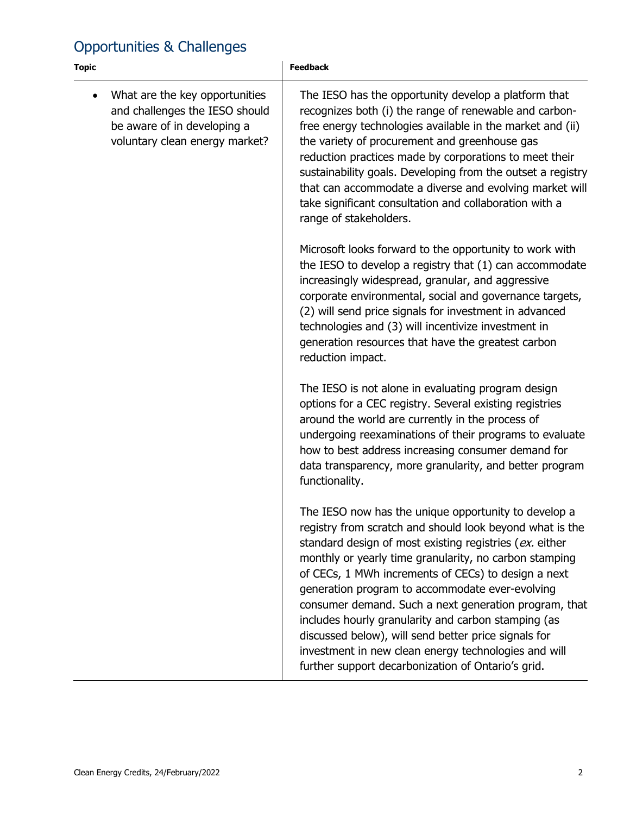### Opportunities & Challenges

| <b>Topic</b>                                                                                                                                   | <b>Feedback</b>                                                                                                                                                                                                                                                                                                                                                                                                                                                                                                                                                                                                                       |
|------------------------------------------------------------------------------------------------------------------------------------------------|---------------------------------------------------------------------------------------------------------------------------------------------------------------------------------------------------------------------------------------------------------------------------------------------------------------------------------------------------------------------------------------------------------------------------------------------------------------------------------------------------------------------------------------------------------------------------------------------------------------------------------------|
| What are the key opportunities<br>$\bullet$<br>and challenges the IESO should<br>be aware of in developing a<br>voluntary clean energy market? | The IESO has the opportunity develop a platform that<br>recognizes both (i) the range of renewable and carbon-<br>free energy technologies available in the market and (ii)<br>the variety of procurement and greenhouse gas<br>reduction practices made by corporations to meet their<br>sustainability goals. Developing from the outset a registry<br>that can accommodate a diverse and evolving market will<br>take significant consultation and collaboration with a<br>range of stakeholders.                                                                                                                                  |
|                                                                                                                                                | Microsoft looks forward to the opportunity to work with<br>the IESO to develop a registry that (1) can accommodate<br>increasingly widespread, granular, and aggressive<br>corporate environmental, social and governance targets,<br>(2) will send price signals for investment in advanced<br>technologies and (3) will incentivize investment in<br>generation resources that have the greatest carbon<br>reduction impact.                                                                                                                                                                                                        |
|                                                                                                                                                | The IESO is not alone in evaluating program design<br>options for a CEC registry. Several existing registries<br>around the world are currently in the process of<br>undergoing reexaminations of their programs to evaluate<br>how to best address increasing consumer demand for<br>data transparency, more granularity, and better program<br>functionality.                                                                                                                                                                                                                                                                       |
|                                                                                                                                                | The IESO now has the unique opportunity to develop a<br>registry from scratch and should look beyond what is the<br>standard design of most existing registries (ex. either<br>monthly or yearly time granularity, no carbon stamping<br>of CECs, 1 MWh increments of CECs) to design a next<br>generation program to accommodate ever-evolving<br>consumer demand. Such a next generation program, that<br>includes hourly granularity and carbon stamping (as<br>discussed below), will send better price signals for<br>investment in new clean energy technologies and will<br>further support decarbonization of Ontario's grid. |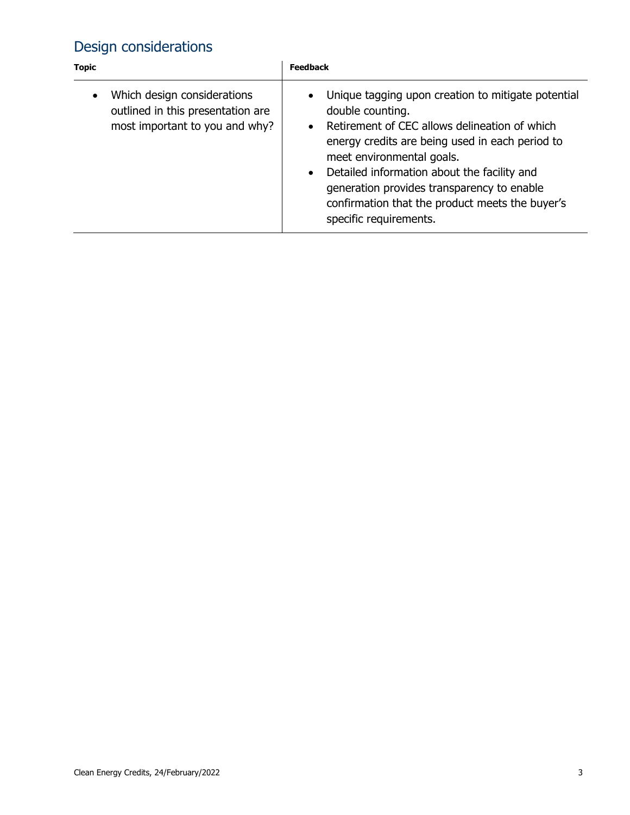### Design considerations

| <b>Topic</b>                                                                                                    | Feedback                                                                                                                                                                                                                                                                                                                                                                                                                 |
|-----------------------------------------------------------------------------------------------------------------|--------------------------------------------------------------------------------------------------------------------------------------------------------------------------------------------------------------------------------------------------------------------------------------------------------------------------------------------------------------------------------------------------------------------------|
| Which design considerations<br>$\bullet$<br>outlined in this presentation are<br>most important to you and why? | Unique tagging upon creation to mitigate potential<br>$\bullet$<br>double counting.<br>Retirement of CEC allows delineation of which<br>$\bullet$<br>energy credits are being used in each period to<br>meet environmental goals.<br>Detailed information about the facility and<br>$\bullet$<br>generation provides transparency to enable<br>confirmation that the product meets the buyer's<br>specific requirements. |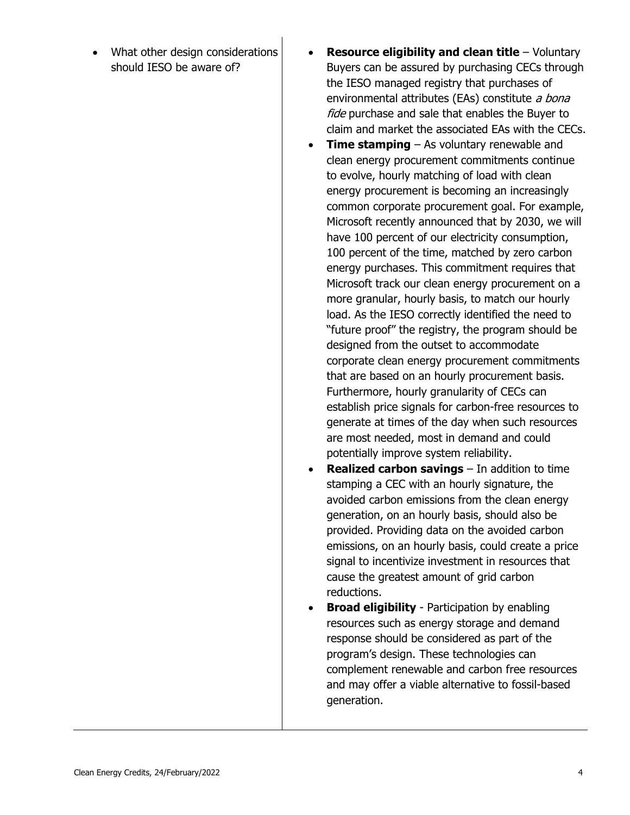- What other design considerations should IESO be aware of?
- **Resource eligibility and clean title** Voluntary Buyers can be assured by purchasing CECs through the IESO managed registry that purchases of environmental attributes (EAs) constitute a bona fide purchase and sale that enables the Buyer to claim and market the associated EAs with the CECs.
- **Time stamping** As voluntary renewable and clean energy procurement commitments continue to evolve, hourly matching of load with clean energy procurement is becoming an increasingly common corporate procurement goal. For example, Microsoft recently announced that by 2030, we will have 100 percent of our electricity consumption, 100 percent of the time, matched by zero carbon energy purchases. This commitment requires that Microsoft track our clean energy procurement on a more granular, hourly basis, to match our hourly load. As the IESO correctly identified the need to "future proof" the registry, the program should be designed from the outset to accommodate corporate clean energy procurement commitments that are based on an hourly procurement basis. Furthermore, hourly granularity of CECs can establish price signals for carbon-free resources to generate at times of the day when such resources are most needed, most in demand and could potentially improve system reliability.
- **Realized carbon savings** In addition to time stamping a CEC with an hourly signature, the avoided carbon emissions from the clean energy generation, on an hourly basis, should also be provided. Providing data on the avoided carbon emissions, on an hourly basis, could create a price signal to incentivize investment in resources that cause the greatest amount of grid carbon reductions.
- **Broad eligibility** Participation by enabling resources such as energy storage and demand response should be considered as part of the program's design. These technologies can complement renewable and carbon free resources and may offer a viable alternative to fossil-based generation.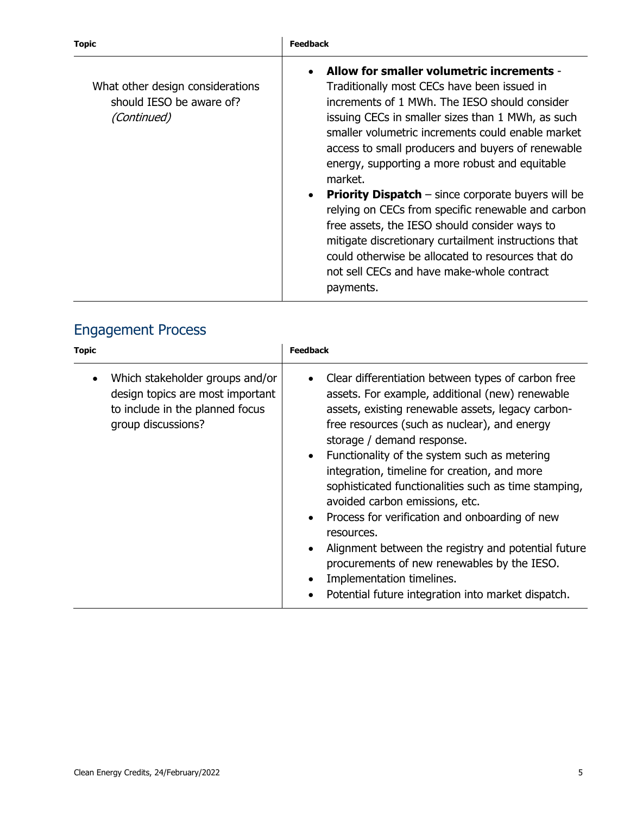| What other design considerations<br>should IESO be aware of?<br>(Continued) | Allow for smaller volumetric increments -<br>$\bullet$<br>Traditionally most CECs have been issued in<br>increments of 1 MWh. The IESO should consider<br>issuing CECs in smaller sizes than 1 MWh, as such<br>smaller volumetric increments could enable market<br>access to small producers and buyers of renewable<br>energy, supporting a more robust and equitable<br>market.<br><b>Priority Dispatch</b> $-$ since corporate buyers will be<br>$\bullet$<br>relying on CECs from specific renewable and carbon<br>free assets, the IESO should consider ways to |
|-----------------------------------------------------------------------------|-----------------------------------------------------------------------------------------------------------------------------------------------------------------------------------------------------------------------------------------------------------------------------------------------------------------------------------------------------------------------------------------------------------------------------------------------------------------------------------------------------------------------------------------------------------------------|
|                                                                             | mitigate discretionary curtailment instructions that<br>could otherwise be allocated to resources that do<br>not sell CECs and have make-whole contract<br>payments.                                                                                                                                                                                                                                                                                                                                                                                                  |

#### Engagement Process

| <b>Topic</b> |                                                                                                                              | <b>Feedback</b>                                                                                                                                                                                                                                                                                                                                                                                                                                                                                                                                                                                                                                                                                                                                              |
|--------------|------------------------------------------------------------------------------------------------------------------------------|--------------------------------------------------------------------------------------------------------------------------------------------------------------------------------------------------------------------------------------------------------------------------------------------------------------------------------------------------------------------------------------------------------------------------------------------------------------------------------------------------------------------------------------------------------------------------------------------------------------------------------------------------------------------------------------------------------------------------------------------------------------|
|              | Which stakeholder groups and/or<br>design topics are most important<br>to include in the planned focus<br>group discussions? | Clear differentiation between types of carbon free<br>$\bullet$<br>assets. For example, additional (new) renewable<br>assets, existing renewable assets, legacy carbon-<br>free resources (such as nuclear), and energy<br>storage / demand response.<br>Functionality of the system such as metering<br>$\bullet$<br>integration, timeline for creation, and more<br>sophisticated functionalities such as time stamping,<br>avoided carbon emissions, etc.<br>Process for verification and onboarding of new<br>$\bullet$<br>resources.<br>Alignment between the registry and potential future<br>$\bullet$<br>procurements of new renewables by the IESO.<br>Implementation timelines.<br>$\bullet$<br>Potential future integration into market dispatch. |